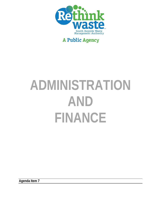

# **A Public Agency**

# **ADMINISTRATION AND FINANCE**

**Agenda Item 7**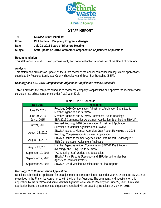

# **A Public Agency**

# **STAFF REPORT**

| To:      | <b>SBWMA Board Members</b>                                           |
|----------|----------------------------------------------------------------------|
| From:    | Cliff Feldman, Recycling Programs Manager                            |
| Date:    | July 23, 2015 Board of Directors Meeting                             |
| Subject: | Staff Update on 2016 Contractor Compensation Adjustment Applications |

#### **Recommendation**

This staff report is for discussion purposes only and no formal action is requested of the Board of Directors.

# **Analysis**

This staff report provides an update on the JPA's review of the annual compensation adjustment applications submitted by Recology San Mateo County (Recology) and South Bay Recycling (SBR).

# *Recology and SBR 2016 Compensation Adjustment Application Review Schedule*

**Table 1** provides the complete schedule to review the company's applications and approve the recommended collection rate adjustments for calendar (rate) year 2016.

| <b>Due Date</b>    | <b>Milestone</b>                                                |
|--------------------|-----------------------------------------------------------------|
|                    | Recology 2016 Compensation Adjustment Application Submitted to  |
| June 15, 2015      | Member Agencies and SBWMA                                       |
| June 29, 2015      | Member Agencies and SBWMA Comments Due to Recology              |
| July 1, 2015       | SBR 2016 Compensation Adjustment Application Submitted to SBWMA |
|                    | Revised Recology 2016 Compensation Adjustment Application       |
| July 24, 2015      | Submitted to Member Agencies and SBWMA                          |
| August 14, 2015    | SBWMA issues to Member Agencies Draft Report Reviewing the 2016 |
|                    | Recology Compensation Adjustment Application                    |
| August 14, 2015    | SBWMA Issues to Member Agencies the Draft Report Reviewing 2016 |
|                    | <b>SBR Compensation Adjustment Application</b>                  |
| August 28, 2015    | Member Agencies Written Comments on SBWMA Draft Reports         |
|                    | (Recology and SBR) Due to SBWMA                                 |
| September 10, 2015 | TAC Meeting: Staff Update and Discussion                        |
| September 17, 2015 | SBWMA Final Reports (Recology and SBR) Issued to Member         |
|                    | Agencies/Board of Directors                                     |
| September 24, 2015 | SBWMA Board Meeting: Consideration of Final Reports             |

#### **Table 1 – 2015 Schedule**

# *Recology 2016 Compensation Application*

Recology submitted its application for an adjustment to compensation for calendar year 2016 on June 15, 2015 as prescribed in the Franchise Agreements with the Member Agencies. The comments and questions on this application by the SBWMA and some Member Agencies were sent to Recology on June 29, 2015. A revised application based on comments and questions received will be issued by Recology on July 24, 2015.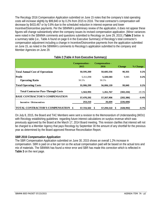The Recology 2016 Compensation Application submitted on June 15 notes that the company's total operating costs will increase slightly by \$99,840 or by 0.2% from 2015 to 2016. The total contractor's compensation will decrease by \$433,467 or by 0.8% due to the scheduled reduction in interest expense and lower Incentive/Disincentive payments. Per the SBWMA's preliminary review of the application, it does not appear these figures will change substantively when the company issues its revised compensation application. (Minor variances were noted in the SBWMA comments and questions submitted to Recology on June 29, 2015.) **Table 2** below is a summary table (i.e., Table A found on page 6 in the Executive Summary) of Recology's total contractor's compensation adjustment including a change in Incentive/Disincentive payments from the application submitted on June 15, as noted in the SBWMA's comments to Recology's application submitted to the company and Member Agencies on June 29.

|                                            | Compensation -<br>2015 | Compensation -<br>2016 | <b>Change</b>   | % Change |
|--------------------------------------------|------------------------|------------------------|-----------------|----------|
| <b>Total Annual Cost of Operations</b>     | 50,595,200             | 50,685,556             | 90,355          | 0.2%     |
| <b>Profit</b><br><b>Operating Ratio</b>    | 5,311,098<br>90.5%     | 5,320,583<br>90.5%     | 9,485           | 0.2%     |
| <b>Total Operating Costs</b>               | 55,906,299             | 56,006,139             | 99,840          | 0.2%     |
| <b>Total Contractor Pass-Through Costs</b> | 1,563,993              | 1,261,767              | (302, 226)      | $-19.3%$ |
| <b>BASE CONTRACTOR'S COMPENSATION</b>      | 57,470,292             | 57,267,906             | (202, 386)      | $-0.4%$  |
| <b>Incentive / Disincentives</b>           | 253,210                | 26,604                 | (226, 606)      |          |
| TOTAL CONTRACTOR'S COMPENSATION \$         | 57,723,502             | 57,294,510<br>S        | (428, 992)<br>s | $-0.7%$  |

# **Table 2 (Table A from Executive Summary)**

On July 8, 2015, the Board and TAC Members were sent a revision to the Memorandum of Understanding (MOU) with Recology establishing quidelines regarding future interest calculations on surplus revenue which was previously approved by the Board at the March 17, 2014 Board meeting. This revision clarifies that interest will not be charged to a Member Agency that pays Recology by September 30 the amount of any shortfall for the previous year as determined by the Board approved Revenue Reconciliation Report.

# *SBR 2016 Compensation Application*

The SBR Compensation Application submitted on June 30, 2015 shows an overall 1.2% increase in compensation. SBR is paid on a fee per ton so the actual compensation paid will be based on the actual tons and mix of materials. The SBWMA has found a minor error and SBR has made this correction which is reflected in **Table 3** on the next page.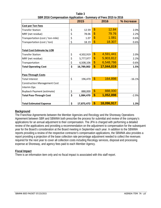| $\frac{1}{2}$                       | 2015             |                         | $0.1000$ and $0.00$<br>2016 | % Increase |
|-------------------------------------|------------------|-------------------------|-----------------------------|------------|
| <b>Cost per Ton Fees</b>            |                  |                         |                             |            |
| <b>Transfer Station</b>             | \$<br>12.59      | $\overline{\mathbb{S}}$ | 12.84                       | 2.0%       |
| MRF (net residue)                   | \$<br>78.06      | \$                      | 79.76                       | 2.2%       |
| Transportation (cost / ton-mile)    | \$<br>1.07       | \$                      | 1.081                       | 0.6%       |
| Transportation (cost / ton)         | \$<br>18.19      | \$                      | 18.307                      | 0.6%       |
| <b>Total Cost Estimate by LOB</b>   |                  |                         |                             |            |
| <b>Transfer Station</b>             | \$<br>4,502,919  | $\mathfrak{S}$          | 4,591,441                   | 2.0%       |
| MRF (net residue)                   | \$<br>5,777,977  | \$                      | 5,903,812                   | 2.2%       |
| Transportation                      | \$<br>6,508,106  | \$                      | 6,548,766                   | 0.6%       |
| <b>Total Operating Cost</b>         | \$<br>16,789,002 | \$                      | 17,044,019                  | 1.5%       |
| <b>Pass-Through Costs</b>           |                  |                         |                             |            |
| <b>Total Interest</b>               | \$<br>196,470    | $\mathbf{\$}$           | 164,898                     | $-16.1%$   |
| <b>Construction Management Cost</b> |                  |                         |                             |            |
| Interim Ops                         |                  |                         |                             |            |
| <b>Buyback Payment (estimate)</b>   | \$<br>888,000    | $\mathfrak{S}$          | 888,000                     |            |
| <b>Total Pass-Through Cost</b>      | \$<br>1,084,470  | \$                      | 1,052,898                   | $-2.9%$    |
| <b>Total Estimated Expense</b>      | \$<br>17,873,472 | \$                      | 18,096,917                  | 1.3%       |

**Table 3 SBR 2016 Compensation Application - Summary of Fees 2015 to 2016** 

# **Background**

The Franchise Agreements between the Member Agencies and Recology and the Shoreway Operations Agreement between SBR and SBWMA both prescribe the process for submittal and review of the company's applications for an annual adjustment to their compensation. The JPA is charged with performing a detailed review of the applications and providing a recommendation on the adjustment to compensation for the subsequent year for the Board's consideration at the Board meeting in September each year. In addition to the SBWMA reports providing a review of the respective contractor's compensation applications, the SBWMA also provides a report providing a projection of the base collection rate percentage adjustment needed to collect the revenues required for the next year to cover all collection costs including Recology services, disposal and processing expense at Shoreway, and agency fees paid to each Member Agency.

# **Fiscal Impact**

There is an information item only and no fiscal impact is associated with this staff report.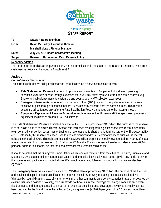

**To: SBWMA Board Members** 

**From: Kevin McCarthy, Executive Director Marshall Moran, Finance Manager Date: July 23, 2015 Board of Director's Meeting** 

**Subject: Review of Unrestricted Cash Reserve Policy** 

# **Recommendation**

This staff report is for discussion purposes only and no formal action is requested of the Board of Directors. The current cash reserve policy can be found in **Attachment A**.

# **Analysis**

# *Current Policy Description*

The current cash reserve policy encompasses three designated reserve accounts as follows:

- **Rate Stabilization Reserve Account** of up to a maximum of ten (10%) percent of budgeted operating expenses, exclusive of pass through expenses that are 100% offset by revenue from the same sources (e.g., Shoreway buyback payments to customers and door to door HHW collection expenses).
- **Emergency Reserve Account** of up to a maximum of ten (10%) percent of budgeted operating expenses, exclusive of pass through expenses that are 100% offset by revenue from the same sources. This reserve account shall be funded only after the Rate Stabilization Reserve is funded up to the maximum level.
- **Equipment Replacement Reserve Account** for replacement of the Shoreway MRF single stream processing equipment, inclusive of an annual CPI adjustment.

**The Rate Stabilization Reserve** estimated balance for FY1516 is approximately \$4 million. The purpose of the reserve is to set aside funds to minimize Transfer Station rate increases resulting from significant one-time revenue shortfalls (e.g., commodity price decreases, loss of tipping fee revenues due to short or long-term closure of the Shoreway facility, etc.). Historically, this reserve has been used to address significant drops in commodity prices such as the market collapse in the fall of 2008. This collapse resulted in a \$3.56 million drop in commodity revenue during FY09. Staff made a revenue transfer from this reserve of \$1.7 million in FY09 and a \$3 million revenue transfer for calendar year 2009 to primarily address this shortfall so that the bond covenant requirements could be met.

It should be noted that the Sunnyvale Smart Station which receives materials from the cities of Palo Alto, Sunnyvale and Mountain View does not maintain a rate stabilization fund; the cities individually must come up with any funds to pay for the type of rate impact scenarios noted above. We do not recommend following this model for our twelve Member Agencies.

**The Emergency Reserve** estimated balance for FY1516 is also approximately \$4 million. The purpose of the fund is to address limited capital needs or significant one-time increases in Shoreway operating expenses associated with "damage by natural disasters, acts of war or terrorism, or other community emergency scenarios that are not covered by existing insurance policies." Notably, we currently do not have insurance coverage for damage from a seismic event, flood damage, and damage caused by an act of terrorism. Seismic insurance coverage is reviewed annually but has been declined by the Board due to the high cost (i.e., last quote was \$450,000 per year with a 10 percent deductible).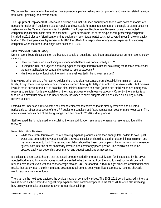We do maintain coverage for fire; natural gas explosion; a plane crashing into our property; and weather related damage from wind, lightening, or a severe storm.

**The Equipment Replacement Reserve** is a sinking fund that is funded annually and then drawn down as monies are needed for major MRF equipment capital repairs, and eventually for partial replacement of the single stream processing system within the Material Recovery Facility (MRF). The Equipment Replacement Reserve covers the expected equipment replacement costs after the assumed 12-year depreciable life of the single stream processing equipment installed in 2011 plus any "significant one-time equipment repair (wear parts) costs not covered in our Shoreway capital budget." Per the Operations Agreement with SBR, the SBWMA is responsible for any repair expenses to stationary equipment when the repair for a single item exceeds \$10,000.

# *Staff Review of Current Policy*

During recent Board discussions on the budget, a couple of questions have been raised about our current reserve policy, including:

- Have we considered establishing minimum fund balances as none currently exist?
- Is using the 10% of budgeted operating expense the right formula to use for calculating the reserve amounts for the rate stabilization account and emergency reserve accounts?
- Has the practice of funding to the maximum level resulted in being over reserved?

In reviewing other city and JPA reserve policies there is no clear consensus around establishing minimum reserve levels, though there does appear to be commonality around having flexibility in establishing reserve levels. Staff believes it would make sense for the JPA to establish clear minimum reserve balances (for the rate stabilization and emergency reserve) so sufficient funds are available for the stated purpose of each reserve category. Currently, the practice is to fund up to a maximum amount and Board practice has been to adopt budgets with an assumed full funding of each reserve account.

Staff did not undertake a review of the equipment replacement reserve as that is already reviewed and adjusted periodically to reflect an analysis of the MRF equipment condition and future replacement cost for major wear parts. This analysis was done as part of the Long Range Plan and recent FY1516 budget process.

Staff reviewed the formula used for calculating the rate stabilization reserve and emergency reserve and found the following:

# Rate Stabilization Reserve

 While the current formula of 10% of operating expense produces more than enough total dollars to cover past worst case commodity revenue shortfalls, a revised calculation should be used for determining a minimum and maximum amount to fund. This revised calculation should be based on comparing historical commodity revenue figures, both in terms of net commodity revenue and commodity prices per ton. The calculation would be updated each year depending upon market and budget conditions as necessary.

It is critical to understand, though, that the actual amount needed in the rate stabilization fund is affected by the JPA's adopted budget and how much money would be needed to be transferred from the fund to meet our bond covenant requirements (break-even test and debt coverage ratio of 1.4). The adopted FY1516 budget produces assumed financial results that barely meet the minimum bond covenant requirements so any significant commodity revenue shortfalls would require a transfer of funds.

The chart on the next page captures the cyclical nature of commodity prices. The 2008-2011 period captured in the chart was selected as this shows the biggest drop experienced in commodity prices in the fall of 2008, while also revealing how quickly commodity prices can recover from a historical drop.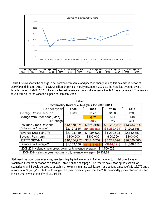

**Table 1** below shows the change in net commodity revenue and price/ton change during this calamitous period of 2008/09 and through 2011. The \$1.42 million drop in commodity revenue in 2009 vs. the historical average over a broader period of 2008-2014 is the single largest variance in commodity revenue the JPA has experienced. The same is true if you look at the variance in price per ton of \$62/ton.

| Table 1                                                                           |              |               |               |              |  |  |  |  |  |
|-----------------------------------------------------------------------------------|--------------|---------------|---------------|--------------|--|--|--|--|--|
| <b>Commodity Revenue Analysis for 2008-2011</b>                                   |              |               |               |              |  |  |  |  |  |
| Calendar year:<br>2008<br>2010<br>2011<br>2009                                    |              |               |               |              |  |  |  |  |  |
| Average Gross Price/Ton                                                           | \$209        | \$147         | \$158         | \$206        |  |  |  |  |  |
| Change from Prior Year (\$/ton)                                                   |              | $-$ \$62      | \$11          | \$48         |  |  |  |  |  |
| % Change                                                                          |              | $-30%$        | 7%            | 31%          |  |  |  |  |  |
| Assumed Gross Revenue                                                             | \$13,678,071 | \$9,610,681   | \$10,298,032  | \$13,453,014 |  |  |  |  |  |
| Variance to Average*                                                              | \$2,127,545  | (\$1,939,845) | (\$1,252,494) | \$1,902,488  |  |  |  |  |  |
| Revenue Share @ 27%                                                               | \$2,193,119  | \$1,094,923   | \$1,280,508   | \$2,132,353  |  |  |  |  |  |
| <b>Buyback Payments</b>                                                           | \$800,000    | \$800,000     | \$800,000     | \$800,000    |  |  |  |  |  |
| <b>NET TO SBWMA</b>                                                               | \$10,684,952 | \$7,715,757   | \$8,217,524   | \$10,520,660 |  |  |  |  |  |
| Variance to Average**                                                             | \$1,553,108  | \$1,416,087   | (\$914,321)   | \$1,388,816  |  |  |  |  |  |
| $*$ 2008-2014 calendar year gross commodity revenue average = \$11,550,526        |              |               |               |              |  |  |  |  |  |
| <sup>**</sup> 2008-2014 calendar year net commodity revenue average = \$9,131,844 |              |               |               |              |  |  |  |  |  |

Staff used the worst case scenarios, see items highlighted in orange in **Table 1** above, to model potential rate stabilization reserve scenarios as shown in **Table 2** on the next page. The reserve calculation figures shown for scenarios A and B could be used to establish a new minimum rate stabilization reserve fund amount of \$1,416,072 and a maximum of \$2,940,712. Staff would suggest a higher minimum given that the 2008 commodity price collapsed resulted in a FY0809 revenue transfer of \$1.7 million.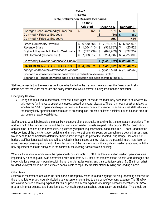| Table 2                                                                      |   |             |    |                   |                   |               |  |  |
|------------------------------------------------------------------------------|---|-------------|----|-------------------|-------------------|---------------|--|--|
| <b>SBWMA</b>                                                                 |   |             |    |                   |                   |               |  |  |
| <b>Rate Stabilization Reserve Scenarios</b>                                  |   |             |    |                   |                   |               |  |  |
| FY1516                                                                       |   |             |    |                   |                   |               |  |  |
|                                                                              |   | Adopted     |    | <b>Scenario A</b> | <b>Scenario B</b> |               |  |  |
| <b>Average Gross Commodity Price/Ton</b>                                     | S | 151         | S  | 121               | $\mathfrak{L}$    | 88            |  |  |
| <b>Commodity Price vs Budget \$</b>                                          |   |             | \$ | (30)              | <b>S</b>          | (62)          |  |  |
| <b>Commodity Price vs Budget %</b>                                           |   |             |    | $-20%$            |                   | $-41%$        |  |  |
| <b>Gross Commodity Revenue</b>                                               | S | 9,630,366   | S  | 7,739,621         | S                 | 5,651,073     |  |  |
| Revenue Share                                                                | S | (1,064,410) | S  | (589, 737)        | S                 | (25, 829)     |  |  |
| <b>Buyback Payments to Public Customers</b>                                  | S | (897, 939)  | S  | (897,939)         | S                 | (897, 939)    |  |  |
| Net Commodity Revenue (1)                                                    |   | 7,668,017   | S  | 6,251,945         | S                 | 4,727,305     |  |  |
| Commodity Revenue Variance vs Budget                                         |   |             | \$ | (1, 416, 072)     |                   |               |  |  |
|                                                                              |   |             |    |                   | S                 | (2,940,712)   |  |  |
| <b>CASH RESERVE CALCULATIONS</b>                                             |   | 4,033,671   | \$ | 1,416,072         | \$                | 2,940,712     |  |  |
| (2.617.599)<br>change compared to current cash reserve<br>S                  |   |             |    |                   |                   | \$(1,092,959) |  |  |
| Scenario A - based on worse case revenue reduction shown in Table 1.         |   |             |    |                   |                   |               |  |  |
| Scenario B - based on worse case price reduction price/ton shown in Table 1. |   |             |    |                   |                   |               |  |  |

Staff recommends that the reserves continue to be funded to the maximum levels unless the Board specifically determines that there are other rate and policy issues that would warrant funding less than the maximum.

# Emergency Reserve

 Using a formula tied to operational expense makes logical sense as the most likely scenarios to be covered by this reserve fund relate to operational upsets caused by natural disasters. There is an open question related to whether the 10% of operational expense produces the maximum funds needed to address what staff believes is the mostly likely operational upset related to an earthquake, but staff believes a minimum fund balance amount can be more readily established.

Staff modeled what it believes is the most likely scenario of an earthquake impacting the transfer station operations. The northern half of the transfer station and the transfer station loading tunnels are part of the original 1980s construction and could be impacted by an earthquake. A preliminary engineering assessment conducted in 2013 concluded that the older portions of the transfer station building and tunnels were structurally sound but a much more detailed assessment would need to be completed to determine their seismic strength. As part of the adopted Long Range Plan and FY1516 budget, staff has funds available and will be evaluating these issues as they relate to the potential future installation of mixed waste processing equipment in the older portion of the transfer station; the significant loading associated with the new equipment has to be analyzed in the context of the existing transfer station building.

What staff was able to model were the operational costs impacts to SBR if the transfer station loading operations were impacted by an earthquake. Staff determined, with input from SBR, that if the transfer station tunnels were damaged and inoperable for a year that it would result in higher transfer trailer loading and transportation costs of \$1.63 million. What we don't know yet would be the estimated capital costs to repair the transfer station building and loading tunnels.

# Other Items

Staff would recommend one clean-up item in the current policy which is to add language defining "operating expense" so there is no future issues around calculating any reserve amounts tied to a percent of operating expense. The SBWMA has always defined operating expense for this purpose as all cash expenses including Shoreway operations, SBWMA program, interest expense and franchise fees. Non-cash expenses such as depreciation are excluded. This should be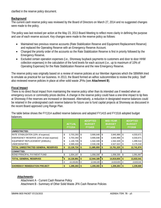clarified in the reserve policy document.

# **Background**

The current cash reserve policy was reviewed by the Board of Directors on March 27, 2014 and no suggested changes were made to the policy.

The policy was last revised per action at the May 23, 2013 Board Meeting to reflect more clarity in defining the purpose and use of each reserve account. Key changes were made to the reserve policy as follows:

- Maintained two previous reserve accounts (Rate Stabilization Reserve and Equipment Replacement Reserve) and replaced the Operating Reserve with an Emergency Reserve Account.
- Changed the priority order of the accounts so the Rate Stabilization Reserve is first in priority followed by the Emergency Reserve.
- Excluded certain operation expenses (i.e., Shoreway buyback payments to customers and door to door HHW collection expenses) in the calculation of the fund levels for each account (i.e., up to maximum of 10% of Operating Expenses) for the Rate Stabilization Reserve and the new Emergency Reserve.

The reserve policy was originally based on a review of reserve policies at our Member Agencies which the SBWMA tried to emulate as practical for our business. In 2013, the Board formed an adhoc subcommittee to review the policy. Staff also reviewed reserve policies in place at other solid waste JPAs (see **Attachment B**).

# **Fiscal Impact**

There is no direct fiscal impact from maintaining the reserve policy other than its intended use if needed when an emergency occurs or commodity prices decline. A change in the reserve policy could have a one-time impact to tip fees at Shoreway if the reserves are increased or decreased. Alternatively, a reduction in designated reserve balances could be retained in the undesignated cash reserve balance for future use to fund capital projects at Shoreway as discussed in the recent Board approved Long Range Plan.

The table below shows the FY1314 audited reserve balances and adopted FY1415 and FY1516 adopted budget balances.

|                                            | <b>ACTUAL</b><br><b>FY1314</b> |              | <b>ADOPTED</b><br><b>BUDGET</b><br><b>FY1415</b> |                   | <b>MID-YEAR</b><br><b>BUDGET</b><br><b>FY1415</b> |            | <b>ADOPTED</b><br><b>BUDGET</b><br><b>FY1516</b> |            |
|--------------------------------------------|--------------------------------|--------------|--------------------------------------------------|-------------------|---------------------------------------------------|------------|--------------------------------------------------|------------|
| UNRESTRICTED:                              |                                |              |                                                  |                   |                                                   |            |                                                  |            |
| RATE STABILIZATON (10% of expense)         | \$                             | 3,703,283    | \$                                               | 3,906,648         | \$                                                | 3,845,988  | \$                                               | 4,033,671  |
| EMERGENCY RESERVE (10% of total expense)   | \$                             | 3,703,283    | S                                                | 3,906,648         | \$                                                | 3,845,988  | \$                                               | 4,033,671  |
| EQUIPMENT REPLACEMENT (ANNUAL)             | \$                             | 1,130,726    | S                                                | 1,542,328         | \$                                                | 1,542,328  | \$                                               | 1,499,514  |
| <b>UNDESIGNATED</b>                        | \$                             | 4,589,433    | - \$                                             | $2,530,236$ \$    |                                                   | 4,527,022  | - \$                                             | 3,175,018  |
| <b>TOTAL UNRESTRICTED GENERAL RESERVES</b> | \$                             | 13,126,724   |                                                  | $11,885,859$ \$   |                                                   | 13,761,325 | \$                                               | 12,741,874 |
| <b>COMMITTED:</b>                          |                                |              |                                                  |                   |                                                   |            |                                                  |            |
| <b>BOND PRINCIPAL PAYMENT FUND</b>         | \$                             | 1,004,167    | \$                                               | 1,058,330         | \$                                                | 1,058,330  | \$                                               | 1,091,667  |
| <b>TOTAL GENERAL RESERVES</b>              | \$                             | 14,130,891   | - \$                                             | $12,944,189$   \$ |                                                   | 14,819,655 | -\$                                              | 13,833,541 |
|                                            | \$                             | 14, 130, 891 | \$                                               | 12,944,189        | \$                                                | 14,819,655 | \$                                               | 13,833,541 |
| <b>ISHOREWAY REMEDIATION PROJECT</b>       | \$                             | 1,289,283    | \$                                               | 1,209,283         | \$                                                | 1,209,283  | \$                                               | 1,239,800  |

# *Attachments:*

 Attachment A - Current Cash Reserve Policy Attachment B - Summary of Other Solid Waste JPA Cash Reserve Policies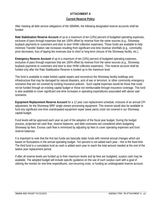# **ATTACHMENT A**

# **Current Reserve Policy**

After meeting all debt service obligations of the SBWMA, the following designated reserve accounts shall be funded:

**Rate Stabilization Reserve Account** of up to a maximum of ten (10%) percent of budgeted operating expenses, exclusive of pass through expenses that are 100% offset by revenue from the same sources (e.g., Shoreway buyback payments to customers and door to door HHW collection expenses). These funds are available to help minimize Transfer Station rate increases resulting from significant one-time revenue shortfalls (e.g., commodity price decreases, loss of tipping fee revenues due to short or long-term closure of the Shoreway facility, etc.).

**Emergency Reserve Account** of up to a maximum of ten (10%) percent of budgeted operating expenses, exclusive of pass through expenses that are 100% offset by revenue from the same sources (e.g., Shoreway buyback payments to customers and door to door HHW collection expenses). This reserve account shall be funded only after the Rate Stabilization Reserve is funded up to the maximum level.

This fund is available to make limited capital repairs and reconstruct the Shoreway facility buildings and infrastructure that may be damaged by natural disasters, acts of war or terrorism, or other community emergency scenarios that are not covered by existing insurance policies. Such capital expenses would be those that could not be funded through an existing capital budget or those not reimbursable through insurance coverage. This fund is also available to cover significant one-time increases in operating expenditures associated with above said scenarios.

**Equipment Replacement Reserve Account** for a 12 year cost replacement schedule, inclusive of an annual CPI adjustment, for the Shoreway MRF single stream processing equipment. This reserve would also be available to fund any significant one-time unanticipated equipment repair (wear parts) costs not covered in our Shoreway capital budget.

Fund levels will be approved each year as part of the adoption of the fiscal year budget. During the budget process, projected net cash flow, reserve balances, and debt covenants are considered when budgeting Shoreway tip fees. Excess cash flow is minimized by adjusting tip fees to cover operating expenses and fund reserve balances.

It is important to note that the first two funds are basically static funds with minimal annual changes which are based on fluctuations in the annual operating budget. Ten percent is not added each year – this is the fixed limit. The third fund is a cumulative fund as cash is added each year to reach the total amount needed at the end of the twelve year replacement period.

If after all reserve levels are funded up to their maximum levels and tip fees are budgeted, surplus cash may be available. The adopted budget will include specific guidance on the use of such surplus cash with a goal of utilizing the monies for one-time expenditures, non-recurring costs, or funding an undesignated reserve account.